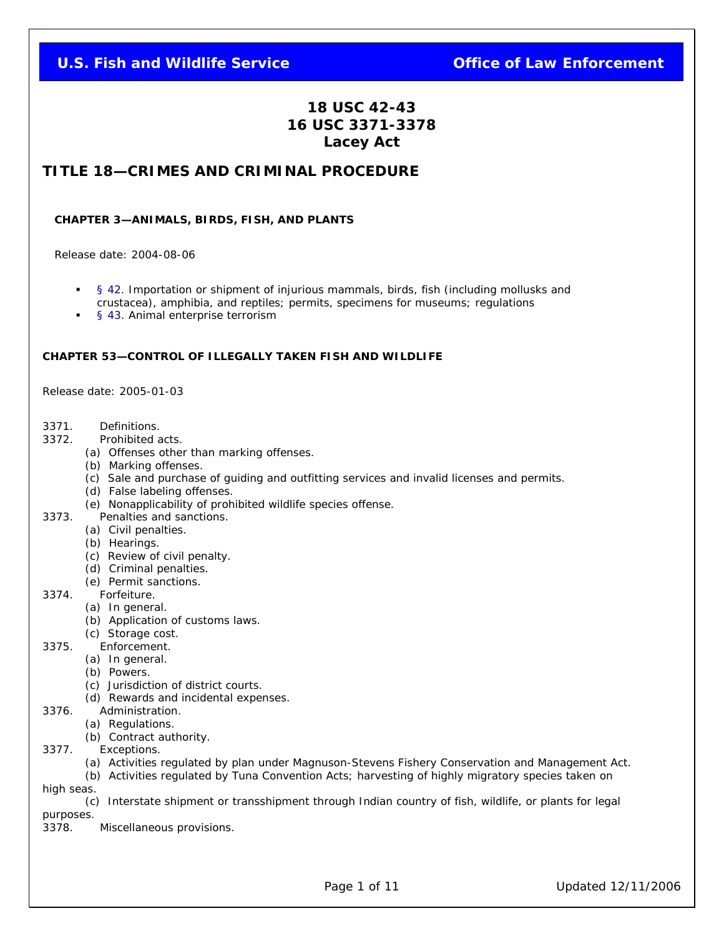# **18 USC 42-43 16 USC 3371-3378 Lacey Act**

### **TITLE 18—CRIMES AND CRIMINAL PROCEDURE**

### **CHAPTER 3—ANIMALS, BIRDS, FISH, AND PLANTS**

Release date: 2004-08-06

- [§ 42](http://assembler.law.cornell.edu/uscode/html/uscode18/usc_sec_18_00000042----000-.html). Importation or shipment of injurious mammals, birds, fish (including mollusks and crustacea), amphibia, and reptiles; permits, specimens for museums; regulations
- [§ 43](http://assembler.law.cornell.edu/uscode/html/uscode18/usc_sec_18_00000043----000-.html). Animal enterprise terrorism

### **CHAPTER 53—CONTROL OF ILLEGALLY TAKEN FISH AND WILDLIFE**

Release date: 2005-01-03

- 3371. Definitions.
- 3372. Prohibited acts.
	- (a) Offenses other than marking offenses.
	- (b) Marking offenses.
	- (c) Sale and purchase of guiding and outfitting services and invalid licenses and permits.
	- (d) False labeling offenses.
	- (e) Nonapplicability of prohibited wildlife species offense.
- 3373. Penalties and sanctions.
	- (a) Civil penalties.
	- (b) Hearings.
	- (c) Review of civil penalty.
	- (d) Criminal penalties.
	- (e) Permit sanctions.
- 3374. Forfeiture.
	- (a) In general.
	- (b) Application of customs laws.
	- (c) Storage cost.
- 3375. Enforcement.
	- (a) In general.
		- (b) Powers.
		- (c) Jurisdiction of district courts.
		- (d) Rewards and incidental expenses.
- 3376. Administration.
	- (a) Regulations.
	- (b) Contract authority.
- 3377. Exceptions.
	- (a) Activities regulated by plan under Magnuson-Stevens Fishery Conservation and Management Act.
- (b) Activities regulated by Tuna Convention Acts; harvesting of highly migratory species taken on
- high seas.

 (c) Interstate shipment or transshipment through Indian country of fish, wildlife, or plants for legal purposes.

3378. Miscellaneous provisions.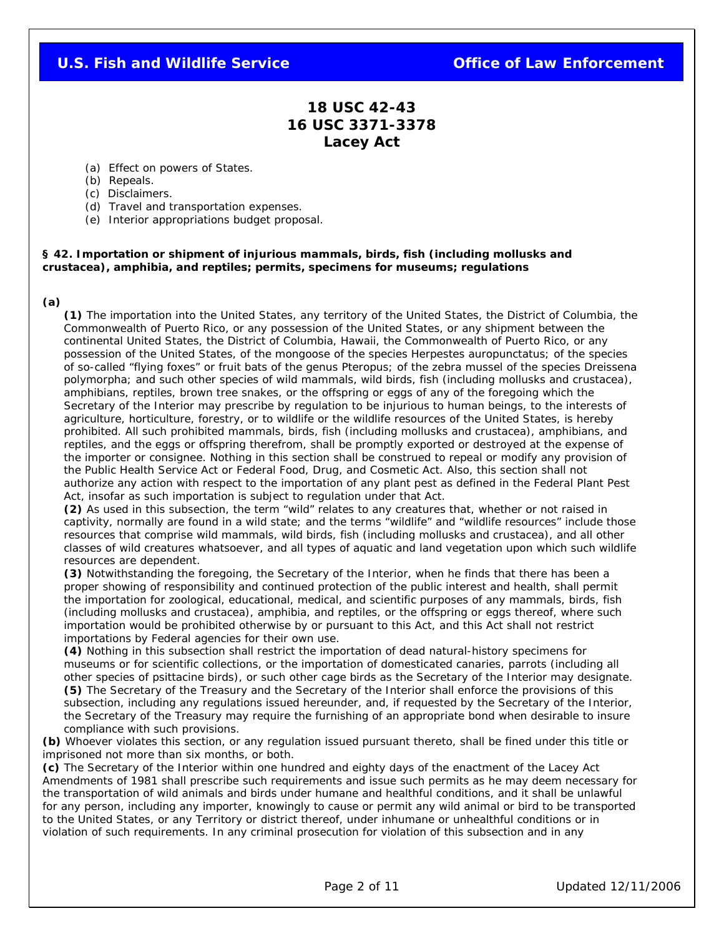# **18 USC 42-43 16 USC 3371-3378 Lacey Act**

- (a) Effect on powers of States.
- (b) Repeals.
- (c) Disclaimers.
- (d) Travel and transportation expenses.
- (e) Interior appropriations budget proposal.

### **§ 42. Importation or shipment of injurious mammals, birds, fish (including mollusks and crustacea), amphibia, and reptiles; permits, specimens for museums; regulations**

**(a)**

**(1)** The importation into the United States, any territory of the United States, the District of Columbia, the Commonwealth of Puerto Rico, or any possession of the United States, or any shipment between the continental United States, the District of Columbia, Hawaii, the Commonwealth of Puerto Rico, or any possession of the United States, of the mongoose of the species Herpestes auropunctatus; of the species of so-called "flying foxes" or fruit bats of the genus Pteropus; of the zebra mussel of the species Dreissena polymorpha; and such other species of wild mammals, wild birds, fish (including mollusks and crustacea), amphibians, reptiles, brown tree snakes, or the offspring or eggs of any of the foregoing which the Secretary of the Interior may prescribe by regulation to be injurious to human beings, to the interests of agriculture, horticulture, forestry, or to wildlife or the wildlife resources of the United States, is hereby prohibited. All such prohibited mammals, birds, fish (including mollusks and crustacea), amphibians, and reptiles, and the eggs or offspring therefrom, shall be promptly exported or destroyed at the expense of the importer or consignee. Nothing in this section shall be construed to repeal or modify any provision of the Public Health Service Act or Federal Food, Drug, and Cosmetic Act. Also, this section shall not authorize any action with respect to the importation of any plant pest as defined in the Federal Plant Pest Act, insofar as such importation is subject to regulation under that Act.

**(2)** As used in this subsection, the term "wild" relates to any creatures that, whether or not raised in captivity, normally are found in a wild state; and the terms "wildlife" and "wildlife resources" include those resources that comprise wild mammals, wild birds, fish (including mollusks and crustacea), and all other classes of wild creatures whatsoever, and all types of aquatic and land vegetation upon which such wildlife resources are dependent.

**(3)** Notwithstanding the foregoing, the Secretary of the Interior, when he finds that there has been a proper showing of responsibility and continued protection of the public interest and health, shall permit the importation for zoological, educational, medical, and scientific purposes of any mammals, birds, fish (including mollusks and crustacea), amphibia, and reptiles, or the offspring or eggs thereof, where such importation would be prohibited otherwise by or pursuant to this Act, and this Act shall not restrict importations by Federal agencies for their own use.

**(4)** Nothing in this subsection shall restrict the importation of dead natural-history specimens for museums or for scientific collections, or the importation of domesticated canaries, parrots (including all other species of psittacine birds), or such other cage birds as the Secretary of the Interior may designate. **(5)** The Secretary of the Treasury and the Secretary of the Interior shall enforce the provisions of this subsection, including any regulations issued hereunder, and, if requested by the Secretary of the Interior, the Secretary of the Treasury may require the furnishing of an appropriate bond when desirable to insure compliance with such provisions.

**(b)** Whoever violates this section, or any regulation issued pursuant thereto, shall be fined under this title or imprisoned not more than six months, or both.

**(c)** The Secretary of the Interior within one hundred and eighty days of the enactment of the Lacey Act Amendments of 1981 shall prescribe such requirements and issue such permits as he may deem necessary for the transportation of wild animals and birds under humane and healthful conditions, and it shall be unlawful for any person, including any importer, knowingly to cause or permit any wild animal or bird to be transported to the United States, or any Territory or district thereof, under inhumane or unhealthful conditions or in violation of such requirements. In any criminal prosecution for violation of this subsection and in any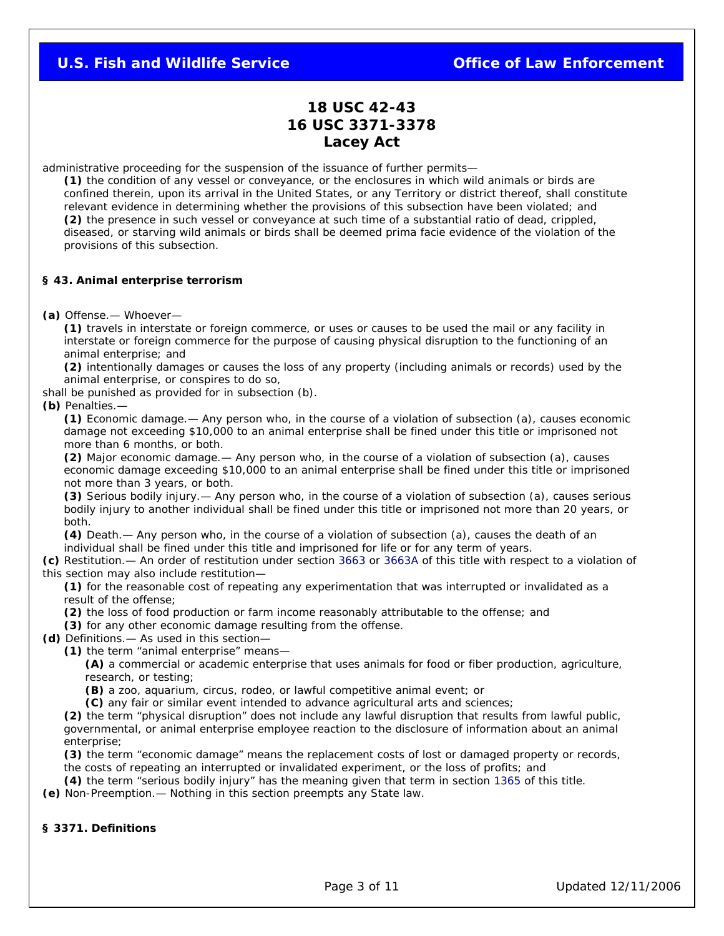administrative proceeding for the suspension of the issuance of further permits—

**(1)** the condition of any vessel or conveyance, or the enclosures in which wild animals or birds are confined therein, upon its arrival in the United States, or any Territory or district thereof, shall constitute relevant evidence in determining whether the provisions of this subsection have been violated; and **(2)** the presence in such vessel or conveyance at such time of a substantial ratio of dead, crippled, diseased, or starving wild animals or birds shall be deemed prima facie evidence of the violation of the provisions of this subsection.

### **§ 43. Animal enterprise terrorism**

**(a)** Offense.— Whoever—

**(1)** travels in interstate or foreign commerce, or uses or causes to be used the mail or any facility in interstate or foreign commerce for the purpose of causing physical disruption to the functioning of an animal enterprise; and

**(2)** intentionally damages or causes the loss of any property (including animals or records) used by the animal enterprise, or conspires to do so,

shall be punished as provided for in subsection (b).

### **(b)** Penalties.—

**(1)** Economic damage.— Any person who, in the course of a violation of subsection (a), causes economic damage not exceeding \$10,000 to an animal enterprise shall be fined under this title or imprisoned not more than 6 months, or both.

**(2)** Major economic damage.— Any person who, in the course of a violation of subsection (a), causes economic damage exceeding \$10,000 to an animal enterprise shall be fined under this title or imprisoned not more than 3 years, or both.

**(3)** Serious bodily injury.— Any person who, in the course of a violation of subsection (a), causes serious bodily injury to another individual shall be fined under this title or imprisoned not more than 20 years, or both.

**(4)** Death.— Any person who, in the course of a violation of subsection (a), causes the death of an individual shall be fined under this title and imprisoned for life or for any term of years.

**(c)** Restitution.— An order of restitution under section [3663](http://assembler.law.cornell.edu/uscode/html/uscode18/usc_sec_18_00003663----000-.html) or [3663A](http://assembler.law.cornell.edu/uscode/html/uscode18/usc_sec_18_00003663---A000-.html) of this title with respect to a violation of this section may also include restitution—

**(1)** for the reasonable cost of repeating any experimentation that was interrupted or invalidated as a result of the offense;

**(2)** the loss of food production or farm income reasonably attributable to the offense; and

**(3)** for any other economic damage resulting from the offense.

**(d)** Definitions.— As used in this section—

**(1)** the term "animal enterprise" means—

**(A)** a commercial or academic enterprise that uses animals for food or fiber production, agriculture, research, or testing;

**(B)** a zoo, aquarium, circus, rodeo, or lawful competitive animal event; or

**(C)** any fair or similar event intended to advance agricultural arts and sciences;

**(2)** the term "physical disruption" does not include any lawful disruption that results from lawful public, governmental, or animal enterprise employee reaction to the disclosure of information about an animal enterprise;

**(3)** the term "economic damage" means the replacement costs of lost or damaged property or records, the costs of repeating an interrupted or invalidated experiment, or the loss of profits; and

**(4)** the term "serious bodily injury" has the meaning given that term in section [1365](http://assembler.law.cornell.edu/uscode/html/uscode18/usc_sec_18_00001365----000-.html) of this title.

**(e)** Non-Preemption.— Nothing in this section preempts any State law.

### **§ 3371. Definitions**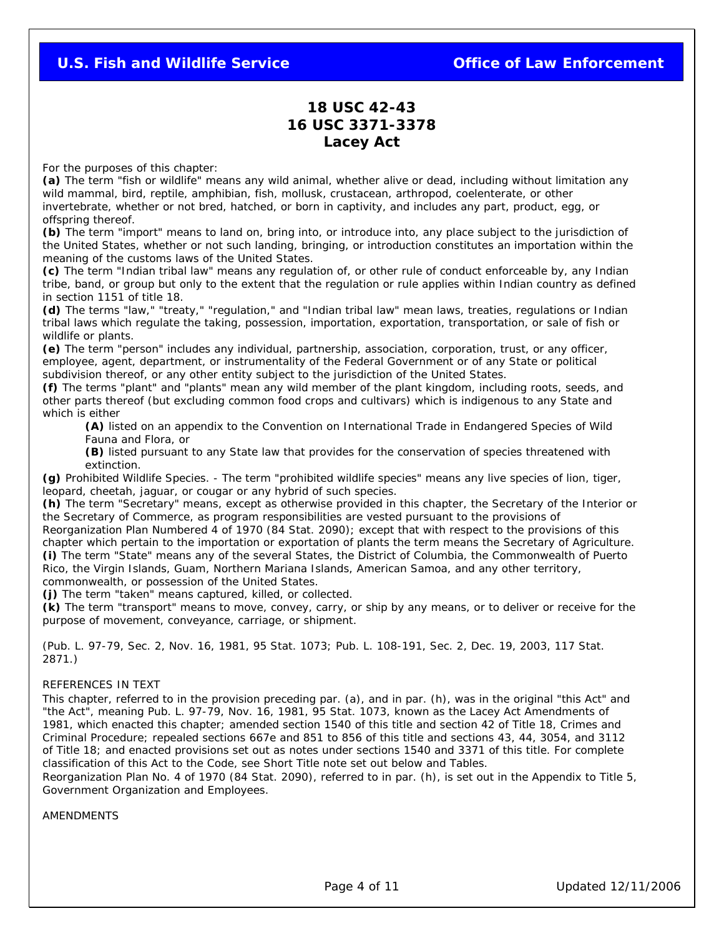For the purposes of this chapter:

**(a)** The term "fish or wildlife" means any wild animal, whether alive or dead, including without limitation any wild mammal, bird, reptile, amphibian, fish, mollusk, crustacean, arthropod, coelenterate, or other invertebrate, whether or not bred, hatched, or born in captivity, and includes any part, product, egg, or offspring thereof.

**(b)** The term "import" means to land on, bring into, or introduce into, any place subject to the jurisdiction of the United States, whether or not such landing, bringing, or introduction constitutes an importation within the meaning of the customs laws of the United States.

**(c)** The term "Indian tribal law" means any regulation of, or other rule of conduct enforceable by, any Indian tribe, band, or group but only to the extent that the regulation or rule applies within Indian country as defined in section 1151 of title 18.

**(d)** The terms "law," "treaty," "regulation," and "Indian tribal law" mean laws, treaties, regulations or Indian tribal laws which regulate the taking, possession, importation, exportation, transportation, or sale of fish or wildlife or plants.

**(e)** The term "person" includes any individual, partnership, association, corporation, trust, or any officer, employee, agent, department, or instrumentality of the Federal Government or of any State or political subdivision thereof, or any other entity subject to the jurisdiction of the United States.

**(f)** The terms "plant" and "plants" mean any wild member of the plant kingdom, including roots, seeds, and other parts thereof (but excluding common food crops and cultivars) which is indigenous to any State and which is either

 **(A)** listed on an appendix to the Convention on International Trade in Endangered Species of Wild Fauna and Flora, or

 **(B)** listed pursuant to any State law that provides for the conservation of species threatened with extinction.

**(g)** Prohibited Wildlife Species. - The term "prohibited wildlife species" means any live species of lion, tiger, leopard, cheetah, jaguar, or cougar or any hybrid of such species.

**(h)** The term "Secretary" means, except as otherwise provided in this chapter, the Secretary of the Interior or the Secretary of Commerce, as program responsibilities are vested pursuant to the provisions of

Reorganization Plan Numbered 4 of 1970 (84 Stat. 2090); except that with respect to the provisions of this chapter which pertain to the importation or exportation of plants the term means the Secretary of Agriculture. **(i)** The term "State" means any of the several States, the District of Columbia, the Commonwealth of Puerto Rico, the Virgin Islands, Guam, Northern Mariana Islands, American Samoa, and any other territory, commonwealth, or possession of the United States.

**(j)** The term "taken" means captured, killed, or collected.

**(k)** The term "transport" means to move, convey, carry, or ship by any means, or to deliver or receive for the purpose of movement, conveyance, carriage, or shipment.

(Pub. L. 97-79, Sec. 2, Nov. 16, 1981, 95 Stat. 1073; Pub. L. 108-191, Sec. 2, Dec. 19, 2003, 117 Stat. 2871.)

### REFERENCES IN TEXT

This chapter, referred to in the provision preceding par. (a), and in par. (h), was in the original "this Act" and "the Act", meaning Pub. L. 97-79, Nov. 16, 1981, 95 Stat. 1073, known as the Lacey Act Amendments of 1981, which enacted this chapter; amended section 1540 of this title and section 42 of Title 18, Crimes and Criminal Procedure; repealed sections 667e and 851 to 856 of this title and sections 43, 44, 3054, and 3112 of Title 18; and enacted provisions set out as notes under sections 1540 and 3371 of this title. For complete classification of this Act to the Code, see Short Title note set out below and Tables.

Reorganization Plan No. 4 of 1970 (84 Stat. 2090), referred to in par. (h), is set out in the Appendix to Title 5, Government Organization and Employees.

**AMENDMENTS**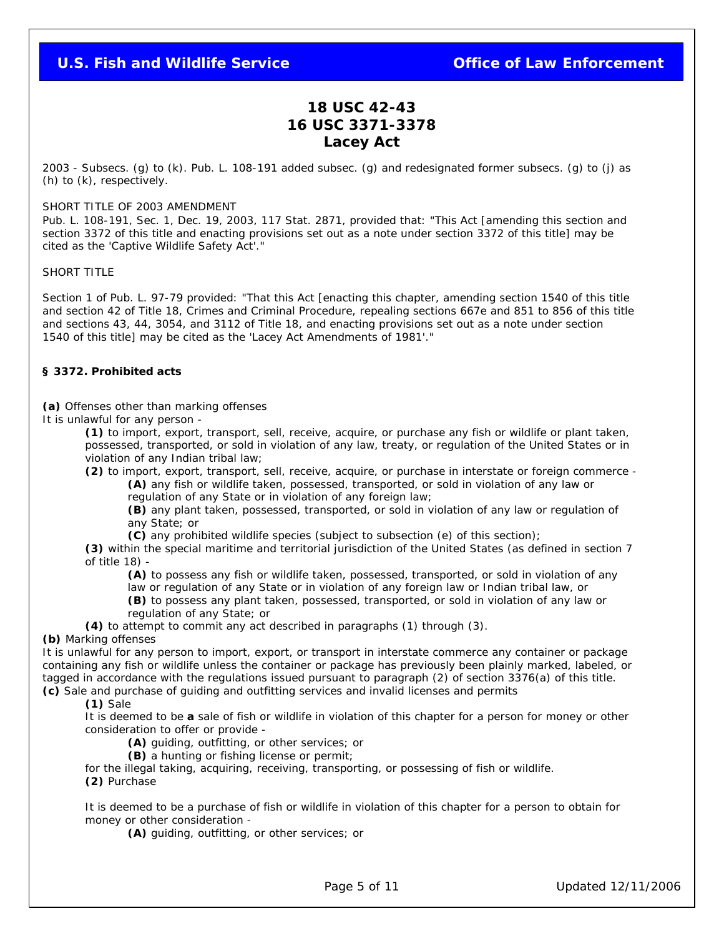2003 - Subsecs. (g) to (k). Pub. L. 108-191 added subsec. (g) and redesignated former subsecs. (g) to (j) as (h) to (k), respectively.

#### SHORT TITLE OF 2003 AMENDMENT

Pub. L. 108-191, Sec. 1, Dec. 19, 2003, 117 Stat. 2871, provided that: "This Act [amending this section and section 3372 of this title and enacting provisions set out as a note under section 3372 of this title] may be cited as the 'Captive Wildlife Safety Act'."

#### SHORT TITLE

Section 1 of Pub. L. 97-79 provided: "That this Act [enacting this chapter, amending section 1540 of this title and section 42 of Title 18, Crimes and Criminal Procedure, repealing sections 667e and 851 to 856 of this title and sections 43, 44, 3054, and 3112 of Title 18, and enacting provisions set out as a note under section 1540 of this title] may be cited as the 'Lacey Act Amendments of 1981'."

### **§ 3372. Prohibited acts**

### **(a)** Offenses other than marking offenses

It is unlawful for any person -

 **(1)** to import, export, transport, sell, receive, acquire, or purchase any fish or wildlife or plant taken, possessed, transported, or sold in violation of any law, treaty, or regulation of the United States or in violation of any Indian tribal law;

**(2)** to import, export, transport, sell, receive, acquire, or purchase in interstate or foreign commerce - **(A)** any fish or wildlife taken, possessed, transported, or sold in violation of any law or

regulation of any State or in violation of any foreign law;

 **(B)** any plant taken, possessed, transported, or sold in violation of any law or regulation of any State; or

**(C)** any prohibited wildlife species (subject to subsection (e) of this section);

 **(3)** within the special maritime and territorial jurisdiction of the United States (as defined in section 7 of title 18) -

**(A)** to possess any fish or wildlife taken, possessed, transported, or sold in violation of any

law or regulation of any State or in violation of any foreign law or Indian tribal law, or

 **(B)** to possess any plant taken, possessed, transported, or sold in violation of any law or regulation of any State; or

**(4)** to attempt to commit any act described in paragraphs (1) through (3).

#### **(b)** Marking offenses

It is unlawful for any person to import, export, or transport in interstate commerce any container or package containing any fish or wildlife unless the container or package has previously been plainly marked, labeled, or tagged in accordance with the regulations issued pursuant to paragraph (2) of section 3376(a) of this title. **(c)** Sale and purchase of guiding and outfitting services and invalid licenses and permits

#### **(1)** Sale

 It is deemed to be **a** sale of fish or wildlife in violation of this chapter for a person for money or other consideration to offer or provide -

**(A)** guiding, outfitting, or other services; or

**(B)** a hunting or fishing license or permit;

 for the illegal taking, acquiring, receiving, transporting, or possessing of fish or wildlife. **(2)** Purchase

 It is deemed to be a purchase of fish or wildlife in violation of this chapter for a person to obtain for money or other consideration -

**(A)** guiding, outfitting, or other services; or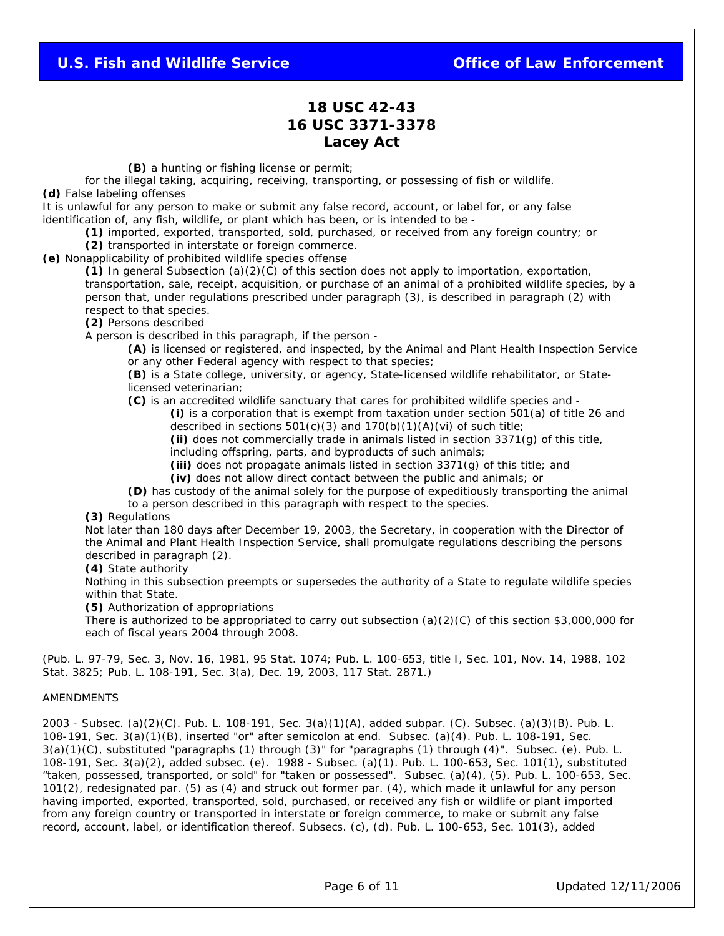# **18 USC 42-43 16 USC 3371-3378 Lacey Act**

**(B)** a hunting or fishing license or permit;

 for the illegal taking, acquiring, receiving, transporting, or possessing of fish or wildlife. **(d)** False labeling offenses

It is unlawful for any person to make or submit any false record, account, or label for, or any false identification of, any fish, wildlife, or plant which has been, or is intended to be -

 **(1)** imported, exported, transported, sold, purchased, or received from any foreign country; or

**(2)** transported in interstate or foreign commerce.

**(e)** Nonapplicability of prohibited wildlife species offense

 **(1)** In general Subsection (a)(2)(C) of this section does not apply to importation, exportation, transportation, sale, receipt, acquisition, or purchase of an animal of a prohibited wildlife species, by a person that, under regulations prescribed under paragraph (3), is described in paragraph (2) with respect to that species.

**(2)** Persons described

A person is described in this paragraph, if the person -

 **(A)** is licensed or registered, and inspected, by the Animal and Plant Health Inspection Service or any other Federal agency with respect to that species;

 **(B)** is a State college, university, or agency, State-licensed wildlife rehabilitator, or State licensed veterinarian;

**(C)** is an accredited wildlife sanctuary that cares for prohibited wildlife species and -

 **(i)** is a corporation that is exempt from taxation under section 501(a) of title 26 and described in sections  $501(c)(3)$  and  $170(b)(1)(A)(vi)$  of such title;

 **(ii)** does not commercially trade in animals listed in section 3371(g) of this title, including offspring, parts, and byproducts of such animals;

**(iii)** does not propagate animals listed in section 3371(g) of this title; and

**(iv)** does not allow direct contact between the public and animals; or

 **(D)** has custody of the animal solely for the purpose of expeditiously transporting the animal to a person described in this paragraph with respect to the species.

**(3)** Regulations

 Not later than 180 days after December 19, 2003, the Secretary, in cooperation with the Director of the Animal and Plant Health Inspection Service, shall promulgate regulations describing the persons described in paragraph (2).

### **(4)** State authority

 Nothing in this subsection preempts or supersedes the authority of a State to regulate wildlife species within that State.

**(5)** Authorization of appropriations

There is authorized to be appropriated to carry out subsection  $(a)(2)(C)$  of this section \$3,000,000 for each of fiscal years 2004 through 2008.

(Pub. L. 97-79, Sec. 3, Nov. 16, 1981, 95 Stat. 1074; Pub. L. 100-653, title I, Sec. 101, Nov. 14, 1988, 102 Stat. 3825; Pub. L. 108-191, Sec. 3(a), Dec. 19, 2003, 117 Stat. 2871.)

#### AMENDMENTS

2003 - Subsec. (a)(2)(C). Pub. L. 108-191, Sec. 3(a)(1)(A), added subpar. (C). Subsec. (a)(3)(B). Pub. L. 108-191, Sec. 3(a)(1)(B), inserted "or" after semicolon at end. Subsec. (a)(4). Pub. L. 108-191, Sec. 3(a)(1)(C), substituted "paragraphs (1) through (3)" for "paragraphs (1) through (4)". Subsec. (e). Pub. L. 108-191, Sec. 3(a)(2), added subsec. (e). 1988 - Subsec. (a)(1). Pub. L. 100-653, Sec. 101(1), substituted "taken, possessed, transported, or sold" for "taken or possessed". Subsec. (a)(4), (5). Pub. L. 100-653, Sec. 101(2), redesignated par. (5) as (4) and struck out former par. (4), which made it unlawful for any person having imported, exported, transported, sold, purchased, or received any fish or wildlife or plant imported from any foreign country or transported in interstate or foreign commerce, to make or submit any false record, account, label, or identification thereof. Subsecs. (c), (d). Pub. L. 100-653, Sec. 101(3), added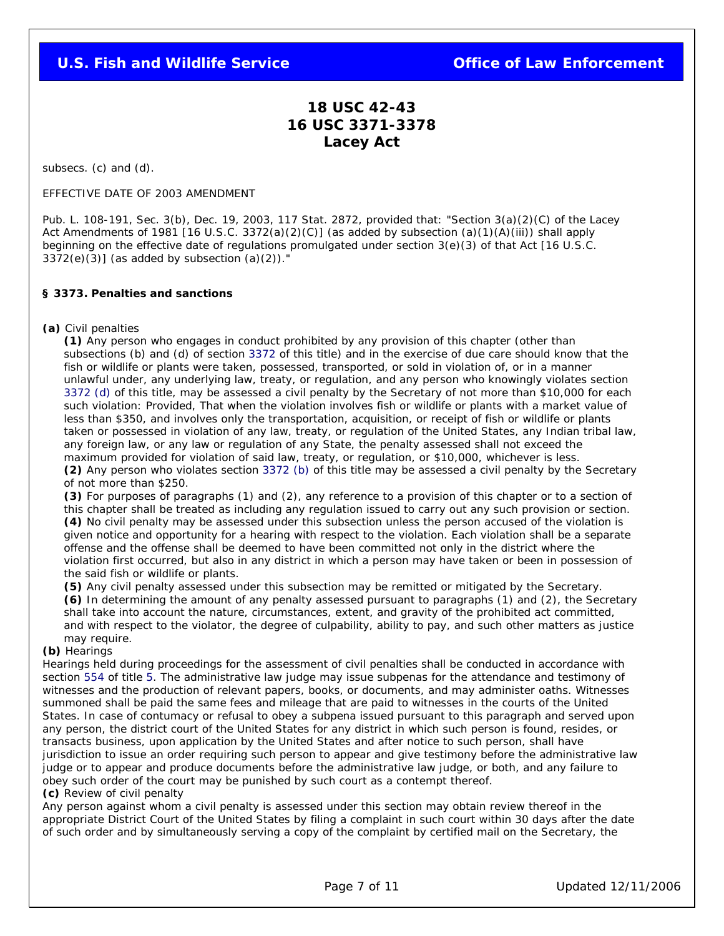subsecs. (c) and (d).

EFFECTIVE DATE OF 2003 AMENDMENT

Pub. L. 108-191, Sec. 3(b), Dec. 19, 2003, 117 Stat. 2872, provided that: "Section 3(a)(2)(C) of the Lacey Act Amendments of 1981 [16 U.S.C. 3372(a)(2)(C)] (as added by subsection (a)(1)(A)(iii)) shall apply beginning on the effective date of regulations promulgated under section 3(e)(3) of that Act [16 U.S.C.  $3372(e)(3)$ ] (as added by subsection  $(a)(2)$ )."

### **§ 3373. Penalties and sanctions**

**(a)** Civil penalties

**(1)** Any person who engages in conduct prohibited by any provision of this chapter (other than subsections (b) and (d) of section [3372](http://assembler.law.cornell.edu/uscode/html/uscode16/usc_sec_16_00003372----000-.html) of this title) and in the exercise of due care should know that the fish or wildlife or plants were taken, possessed, transported, or sold in violation of, or in a manner unlawful under, any underlying law, treaty, or regulation, and any person who knowingly violates section [3372](http://assembler.law.cornell.edu/uscode/html/uscode16/usc_sec_16_00003372----000-.html) [\(d\)](http://assembler.law.cornell.edu/uscode/html/uscode16/usc_sec_16_00003372----000-.html#d) of this title, may be assessed a civil penalty by the Secretary of not more than \$10,000 for each such violation: Provided, That when the violation involves fish or wildlife or plants with a market value of less than \$350, and involves only the transportation, acquisition, or receipt of fish or wildlife or plants taken or possessed in violation of any law, treaty, or regulation of the United States, any Indian tribal law, any foreign law, or any law or regulation of any State, the penalty assessed shall not exceed the maximum provided for violation of said law, treaty, or regulation, or \$10,000, whichever is less.

**(2)** Any person who violates section [3372](http://assembler.law.cornell.edu/uscode/html/uscode16/usc_sec_16_00003372----000-.html) [\(b\)](http://assembler.law.cornell.edu/uscode/html/uscode16/usc_sec_16_00003372----000-.html#b) of this title may be assessed a civil penalty by the Secretary of not more than \$250.

**(3)** For purposes of paragraphs (1) and (2), any reference to a provision of this chapter or to a section of this chapter shall be treated as including any regulation issued to carry out any such provision or section. **(4)** No civil penalty may be assessed under this subsection unless the person accused of the violation is given notice and opportunity for a hearing with respect to the violation. Each violation shall be a separate offense and the offense shall be deemed to have been committed not only in the district where the violation first occurred, but also in any district in which a person may have taken or been in possession of the said fish or wildlife or plants.

**(5)** Any civil penalty assessed under this subsection may be remitted or mitigated by the Secretary. **(6)** In determining the amount of any penalty assessed pursuant to paragraphs (1) and (2), the Secretary shall take into account the nature, circumstances, extent, and gravity of the prohibited act committed, and with respect to the violator, the degree of culpability, ability to pay, and such other matters as justice may require.

### **(b)** Hearings

Hearings held during proceedings for the assessment of civil penalties shall be conducted in accordance with section [554](http://assembler.law.cornell.edu/uscode/html/uscode05/usc_sec_05_00000554----000-.html) of title [5](http://assembler.law.cornell.edu/uscode/html/uscode05/usc_sup_01_5.html). The administrative law judge may issue subpenas for the attendance and testimony of witnesses and the production of relevant papers, books, or documents, and may administer oaths. Witnesses summoned shall be paid the same fees and mileage that are paid to witnesses in the courts of the United States. In case of contumacy or refusal to obey a subpena issued pursuant to this paragraph and served upon any person, the district court of the United States for any district in which such person is found, resides, or transacts business, upon application by the United States and after notice to such person, shall have jurisdiction to issue an order requiring such person to appear and give testimony before the administrative law judge or to appear and produce documents before the administrative law judge, or both, and any failure to obey such order of the court may be punished by such court as a contempt thereof. **(c)** Review of civil penalty

Any person against whom a civil penalty is assessed under this section may obtain review thereof in the appropriate District Court of the United States by filing a complaint in such court within 30 days after the date of such order and by simultaneously serving a copy of the complaint by certified mail on the Secretary, the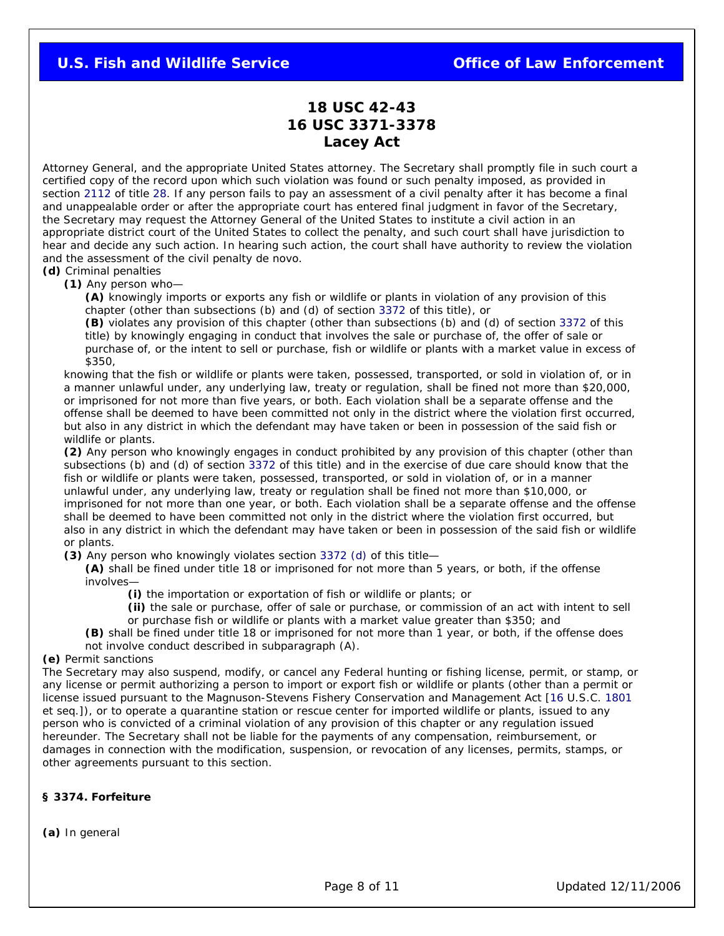# **18 USC 42-43 16 USC 3371-3378 Lacey Act**

Attorney General, and the appropriate United States attorney. The Secretary shall promptly file in such court a certified copy of the record upon which such violation was found or such penalty imposed, as provided in section [2112](http://assembler.law.cornell.edu/uscode/html/uscode28/usc_sec_28_00002112----000-.html) of title [28.](http://assembler.law.cornell.edu/uscode/html/uscode28/usc_sup_01_28.html) If any person fails to pay an assessment of a civil penalty after it has become a final and unappealable order or after the appropriate court has entered final judgment in favor of the Secretary, the Secretary may request the Attorney General of the United States to institute a civil action in an appropriate district court of the United States to collect the penalty, and such court shall have jurisdiction to hear and decide any such action. In hearing such action, the court shall have authority to review the violation and the assessment of the civil penalty de novo.

**(d)** Criminal penalties

**(1)** Any person who—

**(A)** knowingly imports or exports any fish or wildlife or plants in violation of any provision of this chapter (other than subsections (b) and (d) of section [3372](http://assembler.law.cornell.edu/uscode/html/uscode16/usc_sec_16_00003372----000-.html) of this title), or

**(B)** violates any provision of this chapter (other than subsections (b) and (d) of section [3372](http://assembler.law.cornell.edu/uscode/html/uscode16/usc_sec_16_00003372----000-.html) of this title) by knowingly engaging in conduct that involves the sale or purchase of, the offer of sale or purchase of, or the intent to sell or purchase, fish or wildlife or plants with a market value in excess of \$350,

knowing that the fish or wildlife or plants were taken, possessed, transported, or sold in violation of, or in a manner unlawful under, any underlying law, treaty or regulation, shall be fined not more than \$20,000, or imprisoned for not more than five years, or both. Each violation shall be a separate offense and the offense shall be deemed to have been committed not only in the district where the violation first occurred, but also in any district in which the defendant may have taken or been in possession of the said fish or wildlife or plants.

**(2)** Any person who knowingly engages in conduct prohibited by any provision of this chapter (other than subsections (b) and (d) of section [3372](http://assembler.law.cornell.edu/uscode/html/uscode16/usc_sec_16_00003372----000-.html) of this title) and in the exercise of due care should know that the fish or wildlife or plants were taken, possessed, transported, or sold in violation of, or in a manner unlawful under, any underlying law, treaty or regulation shall be fined not more than \$10,000, or imprisoned for not more than one year, or both. Each violation shall be a separate offense and the offense shall be deemed to have been committed not only in the district where the violation first occurred, but also in any district in which the defendant may have taken or been in possession of the said fish or wildlife or plants.

**(3)** Any person who knowingly violates section [3372](http://assembler.law.cornell.edu/uscode/html/uscode16/usc_sec_16_00003372----000-.html) [\(d\)](http://assembler.law.cornell.edu/uscode/html/uscode16/usc_sec_16_00003372----000-.html#d) of this title—

**(A)** shall be fined under title 18 or imprisoned for not more than 5 years, or both, if the offense involves—

**(i)** the importation or exportation of fish or wildlife or plants; or

**(ii)** the sale or purchase, offer of sale or purchase, or commission of an act with intent to sell or purchase fish or wildlife or plants with a market value greater than \$350; and

**(B)** shall be fined under title 18 or imprisoned for not more than 1 year, or both, if the offense does not involve conduct described in subparagraph (A).

### **(e)** Permit sanctions

The Secretary may also suspend, modify, or cancel any Federal hunting or fishing license, permit, or stamp, or any license or permit authorizing a person to import or export fish or wildlife or plants (other than a permit or license issued pursuant to the Magnuson-Stevens Fishery Conservation and Management Act [\[16](http://assembler.law.cornell.edu/uscode/html/uscode16/usc_sup_01_16.html) U.S.C. [1801](http://assembler.law.cornell.edu/uscode/html/uscode16/usc_sec_16_00001801----000-.html) et seq.]), or to operate a quarantine station or rescue center for imported wildlife or plants, issued to any person who is convicted of a criminal violation of any provision of this chapter or any regulation issued hereunder. The Secretary shall not be liable for the payments of any compensation, reimbursement, or damages in connection with the modification, suspension, or revocation of any licenses, permits, stamps, or other agreements pursuant to this section.

#### **§ 3374. Forfeiture**

**(a)** In general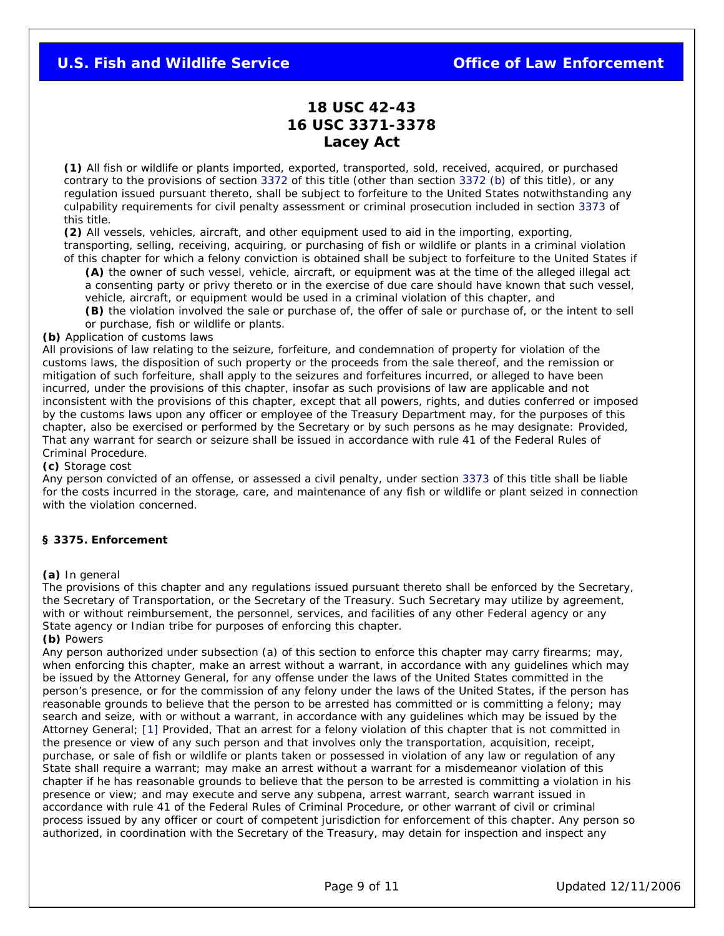**(1)** All fish or wildlife or plants imported, exported, transported, sold, received, acquired, or purchased contrary to the provisions of section [3372](http://assembler.law.cornell.edu/uscode/html/uscode16/usc_sec_16_00003372----000-.html) of this title (other than section [3372](http://assembler.law.cornell.edu/uscode/html/uscode16/usc_sec_16_00003372----000-.html) [\(b\)](http://assembler.law.cornell.edu/uscode/html/uscode16/usc_sec_16_00003372----000-.html#b) of this title), or any regulation issued pursuant thereto, shall be subject to forfeiture to the United States notwithstanding any culpability requirements for civil penalty assessment or criminal prosecution included in section [3373](http://assembler.law.cornell.edu/uscode/html/uscode16/usc_sec_16_00003373----000-.html) of this title.

**(2)** All vessels, vehicles, aircraft, and other equipment used to aid in the importing, exporting, transporting, selling, receiving, acquiring, or purchasing of fish or wildlife or plants in a criminal violation of this chapter for which a felony conviction is obtained shall be subject to forfeiture to the United States if

**(A)** the owner of such vessel, vehicle, aircraft, or equipment was at the time of the alleged illegal act a consenting party or privy thereto or in the exercise of due care should have known that such vessel, vehicle, aircraft, or equipment would be used in a criminal violation of this chapter, and

**(B)** the violation involved the sale or purchase of, the offer of sale or purchase of, or the intent to sell or purchase, fish or wildlife or plants.

**(b)** Application of customs laws

All provisions of law relating to the seizure, forfeiture, and condemnation of property for violation of the customs laws, the disposition of such property or the proceeds from the sale thereof, and the remission or mitigation of such forfeiture, shall apply to the seizures and forfeitures incurred, or alleged to have been incurred, under the provisions of this chapter, insofar as such provisions of law are applicable and not inconsistent with the provisions of this chapter, except that all powers, rights, and duties conferred or imposed by the customs laws upon any officer or employee of the Treasury Department may, for the purposes of this chapter, also be exercised or performed by the Secretary or by such persons as he may designate: Provided, That any warrant for search or seizure shall be issued in accordance with rule 41 of the Federal Rules of Criminal Procedure.

**(c)** Storage cost

Any person convicted of an offense, or assessed a civil penalty, under section [3373](http://assembler.law.cornell.edu/uscode/html/uscode16/usc_sec_16_00003373----000-.html) of this title shall be liable for the costs incurred in the storage, care, and maintenance of any fish or wildlife or plant seized in connection with the violation concerned.

#### **§ 3375. Enforcement**

#### **(a)** In general

The provisions of this chapter and any regulations issued pursuant thereto shall be enforced by the Secretary, the Secretary of Transportation, or the Secretary of the Treasury. Such Secretary may utilize by agreement, with or without reimbursement, the personnel, services, and facilities of any other Federal agency or any State agency or Indian tribe for purposes of enforcing this chapter.

### **(b)** Powers

Any person authorized under subsection (a) of this section to enforce this chapter may carry firearms; may, when enforcing this chapter, make an arrest without a warrant, in accordance with any guidelines which may be issued by the Attorney General, for any offense under the laws of the United States committed in the person's presence, or for the commission of any felony under the laws of the United States, if the person has reasonable grounds to believe that the person to be arrested has committed or is committing a felony; may search and seize, with or without a warrant, in accordance with any guidelines which may be issued by the Attorney General; [\[1\]](http://assembler.law.cornell.edu/uscode/html/uscode16/usc_sec_16_00003375----000-.html#FN-1#FN-1) Provided, That an arrest for a felony violation of this chapter that is not committed in the presence or view of any such person and that involves only the transportation, acquisition, receipt, purchase, or sale of fish or wildlife or plants taken or possessed in violation of any law or regulation of any State shall require a warrant; may make an arrest without a warrant for a misdemeanor violation of this chapter if he has reasonable grounds to believe that the person to be arrested is committing a violation in his presence or view; and may execute and serve any subpena, arrest warrant, search warrant issued in accordance with rule 41 of the Federal Rules of Criminal Procedure, or other warrant of civil or criminal process issued by any officer or court of competent jurisdiction for enforcement of this chapter. Any person so authorized, in coordination with the Secretary of the Treasury, may detain for inspection and inspect any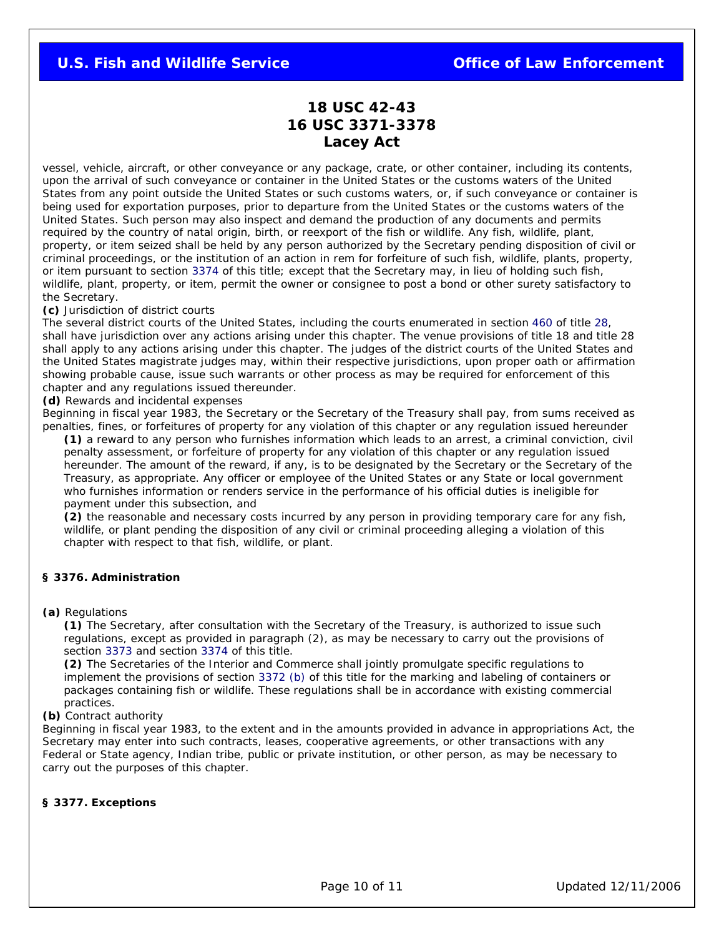# **18 USC 42-43 16 USC 3371-3378 Lacey Act**

vessel, vehicle, aircraft, or other conveyance or any package, crate, or other container, including its contents, upon the arrival of such conveyance or container in the United States or the customs waters of the United States from any point outside the United States or such customs waters, or, if such conveyance or container is being used for exportation purposes, prior to departure from the United States or the customs waters of the United States. Such person may also inspect and demand the production of any documents and permits required by the country of natal origin, birth, or reexport of the fish or wildlife. Any fish, wildlife, plant, property, or item seized shall be held by any person authorized by the Secretary pending disposition of civil or criminal proceedings, or the institution of an action in rem for forfeiture of such fish, wildlife, plants, property, or item pursuant to section [3374](http://assembler.law.cornell.edu/uscode/html/uscode16/usc_sec_16_00003374----000-.html) of this title; except that the Secretary may, in lieu of holding such fish, wildlife, plant, property, or item, permit the owner or consignee to post a bond or other surety satisfactory to the Secretary.

#### **(c)** Jurisdiction of district courts

The several district courts of the United States, including the courts enumerated in section [460](http://assembler.law.cornell.edu/uscode/html/uscode28/usc_sec_28_00000460----000-.html) of title [28](http://assembler.law.cornell.edu/uscode/html/uscode28/usc_sup_01_28.html), shall have jurisdiction over any actions arising under this chapter. The venue provisions of title 18 and title 28 shall apply to any actions arising under this chapter. The judges of the district courts of the United States and the United States magistrate judges may, within their respective jurisdictions, upon proper oath or affirmation showing probable cause, issue such warrants or other process as may be required for enforcement of this chapter and any regulations issued thereunder.

**(d)** Rewards and incidental expenses

Beginning in fiscal year 1983, the Secretary or the Secretary of the Treasury shall pay, from sums received as penalties, fines, or forfeitures of property for any violation of this chapter or any regulation issued hereunder

**(1)** a reward to any person who furnishes information which leads to an arrest, a criminal conviction, civil penalty assessment, or forfeiture of property for any violation of this chapter or any regulation issued hereunder. The amount of the reward, if any, is to be designated by the Secretary or the Secretary of the Treasury, as appropriate. Any officer or employee of the United States or any State or local government who furnishes information or renders service in the performance of his official duties is ineligible for payment under this subsection, and

**(2)** the reasonable and necessary costs incurred by any person in providing temporary care for any fish, wildlife, or plant pending the disposition of any civil or criminal proceeding alleging a violation of this chapter with respect to that fish, wildlife, or plant.

### **§ 3376. Administration**

#### **(a)** Regulations

**(1)** The Secretary, after consultation with the Secretary of the Treasury, is authorized to issue such regulations, except as provided in paragraph (2), as may be necessary to carry out the provisions of section [3373](http://assembler.law.cornell.edu/uscode/html/uscode16/usc_sec_16_00003373----000-.html) and section [3374](http://assembler.law.cornell.edu/uscode/html/uscode16/usc_sec_16_00003374----000-.html) of this title.

**(2)** The Secretaries of the Interior and Commerce shall jointly promulgate specific regulations to implement the provisions of section [3372](http://assembler.law.cornell.edu/uscode/html/uscode16/usc_sec_16_00003372----000-.html) [\(b\)](http://assembler.law.cornell.edu/uscode/html/uscode16/usc_sec_16_00003372----000-.html#b) of this title for the marking and labeling of containers or packages containing fish or wildlife. These regulations shall be in accordance with existing commercial practices.

### **(b)** Contract authority

Beginning in fiscal year 1983, to the extent and in the amounts provided in advance in appropriations Act, the Secretary may enter into such contracts, leases, cooperative agreements, or other transactions with any Federal or State agency, Indian tribe, public or private institution, or other person, as may be necessary to carry out the purposes of this chapter.

### **§ 3377. Exceptions**